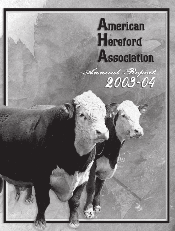# **American Hereford Association** Annual Report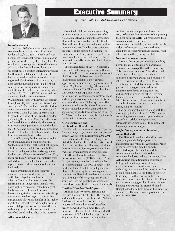

#### **Industry dynamics**

Fiscal year 2003-04 marked an incredible economic boom to the cow-calf sector as feeder calves, live cattle, wholesale and retail beef prices set national records. This amazing price upswing, driven by short slaughter cattle supplies and growing beef demand in the top side of the beef cycle, has trickled to the seedstock sector, creating interesting dynamics for Hereford bull demand, replacement female demand, as well as demand for older registered Hereford cows. It is interesting to note that the incredible prices paid for beef came prior to, during and after, one of the scariest times in the U.S. Beef Industry, when on Dec. 23, 2003, the USDA announced the discovery of a dairy cow in the state of Washington infected with Bovine Spongiform Encephalopathy (also known as BSE or "Madcow disease"). The ramification of the finding caused an immediate trace-back of origin of the cow to a Canadian dairy operation that triggered the closing of the Canadian border, preventing the influx of Canadian cattle into the United States. Additionally, the majority of U.S. export trade partners slammed the door on U.S. beef and beef by-products, preventing hundreds of millions of dollars of trade volume from moving into those markets.

Ironically, timing for this near catastrophic event could not have been better for the United States, as short cattle and beef supplies offset the trade deficit. Consequently, the industry saw higher heifer marketing in the feedlot, cow-calf operators sold off their older, lower producing cows and bull batteries were culled down as the cull bull and cow market reported record prices going into the ground beef trade.

These dynamics, in conjunction with increased commercial demand for Hereford cattle, have played a significant role in the effect on Hereford business this year. Yes, registrations of younger aged animals were down slightly as breeders took advantage of the tremendous calf market this year. However, registration revenue was actually up this year as breeders began to register their unregistered, older aged females at the higher registration rate. This trend, coupled with the record high production sale averages this year, reflect a growing level of enthusiasm for the Hereford breed and its place in the industry.

#### **AHA financial success**

## **Executive Summary**

*by Craig Huffhines, AHA Executive Vice President*

Combined, all three revenue generating business entities of the American Hereford Association (AHA) including the Association, Hereford Publications, Inc., and Certified Hereford Beef, LLC, reported a net profit of more than \$9,500. Total business revenue for the three entities topped \$4.5 million. The consolidated entities generated a positive cash flow throughout the year allowing for the increase in the AHA investment fund of more than \$112,000.

The financial trend of the AHA reflects a very stable and strong organization with a net worth of \$4,191,163. Furthermore, the outlook of AHA's most valuable asset, the AHA headquarters building, is most certainly appreciating in value as the city government of Kansas City has worked diligently to revitalize downtown Kansas City. There are plans for a convention center expansion, a new performing arts center, a new downtown arena and an up-and-coming entertainment district, all surrounding the AHA headquarters. The question is, will AHA be allowed to remain in its current headquarter location as the city aggressively expands downtown amenities. The AHA board will most certainly be dealing with this issue in the coming months.

### **AHA registration and cow herd enrollment trend**

While registration revenue was up 3 percent from a year ago, registration numbers dropped slightly (2.8 percent) in fiscal year 2003-2004 to 68,826 head, reflecting the selling off of high-dollar feeder calves and the registering of older over-aged females. However, this slight down turn in Hereford registration numbers was offset by an increase in cows enrolled (109,531 head) into the Whole Herd Total Performance Records (TPR) inventory. The four-year average cow herd enrollment has been approximately 108,000. The stable cow herd enrollment trend during a liquidation phase of the industry is an encouraging fact that indicates Hereford breeders are ready to take advantage of the ongoing market share swing for Hereford genetics as commercial cow-calf operators begin to expand their herds.

### **Certified Hereford Beef® growth**

Another banner year was reported for Certified Hereford Beef, LLC. The packing and marketing agreement struck with National Beef toward the end of last fiscal year, materialized into a dynamic relationship, driving demand on even more Hereford influenced cattle and beef. CHB reported the movement of 39.5 million lbs. of product, up 18 percent from last year. Cattle numbers

certified through the program broke the 200,000 head mark for the year. While growing the beef business, CHB staff reorganized their customer service team, added a communication specialist, aligned with a mailorder beef company, test marketed valueadded pre-cooked products and added several other stores to the growing user list.

#### **New technology explosion**

It seems that every year there is something new in the area of technology, particularly electronic technology, that AHA is adopting. This year was no exception. The AHA rolled out its new on-line registry and data submission program around the beginning of 2004. In just four months, the AHA records department reported that upward of 15 percent of the registrations and records department work was coming in on-line reducing labor time in the office. This new technology reduced overtime by nearly \$30,000 and enhanced turn around time from a couple of weeks to just two to three days during the peak months.

The on-line registry system, along with the growing applications of the AHA Web site, are generating more and more opportunities to streamline workflow and generate new affordable advertising venues to compliment the *Hereford World* magazine.

### **Bright future, committed breeders, committed staff**

The Hereford breed and the AHA have enjoyed a great deal of progress in the marketplace and within the Association. Much of the success of the breed is directly attributed to you, the breeders and the commitment you have made to the commercial industry and your customers. The AHA's strong commitment to performance testing and breed improvement, beef marketing, customer service and new technology has positioned the breed as leaders in the beef industry. The industry needs AHA leadership more than ever with the new challenges before us such as traceability, DNA marker technology, global evaluation, alliance building and growing the Hereford brand. Being the leader in these areas will continue to enhance the Hereford breed's position in the years to come. HW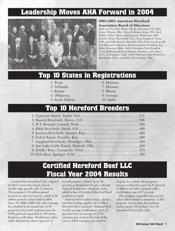# **Leadership Moves AHA Forward in 2004**



### **2003-2004 American Hereford Association Board of Directors:**

*Back row from left: Wayne Mrnak, Bowman, N.D.; Jack Evans, Winona, Miss.; Steve Folkman, Ixonia, Wis.; Jack Holden, Valier, Mont.; John Loewen, Waukomis, Okla.; LaVette Teeter, Mooresville, N.C.; Leon Langford, Texico, N.M.; and Dale Spencer, Brewster, Neb. Front row from left: Past National Cattlemen's Beef Association President, Eric Davis, Bruneau, Idaho; AHA's Executive Vice President, Craig Huffhines; Richard Hudson, Harrison, Ark.; Bruce Orvis, Farmington, Calif.; AHA Chairman, Dale Venhuizen, Manhattan, Mont.; and Bob Call, Cushing, Okla.*

# **Top 10 States in Registrations**

- 1. Texas
- 2. Nebraska
- 3. Kansas
- 4. Oklahoma
- 5. South Dakota
- 6. Montana
- 7. Missouri
- 8. Illinois
- 9. Georgia
- 10. Idaho

# **Top 10 Hereford Breeders**

| 4. K&B Herefords, Onida, S.D. |  |
|-------------------------------|--|
|                               |  |
|                               |  |
|                               |  |
|                               |  |
|                               |  |
|                               |  |
|                               |  |

# **Certified Hereford Beef LLC Fiscal Year 2004 Results**

Certified Hereford Beef LLC enjoyed its third consecutive fiscal year of double-digit growth with 17 percent. The program's 5.5 million pound increase in sales has lead to a total of 38 million pounds of beef sold in 2004. Since FY 2000, CHB LLC sales tonnage has climbed at an annual rate of 36 percent as the retail customer base for CHB products expanded to 376 stores locations in 26 states. Foodservice sales, while still just less than 4 percent of

overall program volume, grew 18 percent as Restaurant Depot, a 40-unit chain of foodservice wholesale clubs, added a line of Certified Hereford Beef products in April.

National Beef's Liberal, Kan. plant is now the leading supplier of Certified Hereford Beef carcasses. National Beef weekly average certifications grew 33 percent from an average of 2,710 carcasses per week at the start of the year to 3,614 carcasses per week in

August. As a whole, the program's carcass certification grew by 57 percent in 2004 to 215,061 carcasses with a certification rate of 67 percent.

The program expanded into several value-added product categories. A deli program, frozen patty line and precooked prime rib product were all introduced during the year.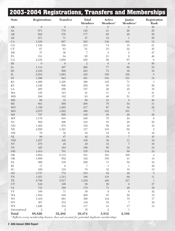|                                 | 2003-2004 Registrations, Transfers and Memberships |                  |                                |                                |                                |                      |
|---------------------------------|----------------------------------------------------|------------------|--------------------------------|--------------------------------|--------------------------------|----------------------|
| <b>State</b>                    | <b>Registrations</b>                               | <b>Transfers</b> | <b>Total</b><br><b>Members</b> | Active<br>Members <sup>o</sup> | Junior<br>Members <sup>o</sup> | Registration<br>Rank |
| $\mathbf{A}\mathbf{K}$          | $\boldsymbol{0}$                                   | $\theta$         | $\mathfrak{Z}$                 | $\boldsymbol{0}$               | $\boldsymbol{0}$               | 49                   |
| $\mathrm{AL}$                   | 971                                                | 779              | 145                            | 41                             | 26                             | 25                   |
| $\rm{AR}$                       | 892                                                | 376              | 177                            | 65                             | 49                             | 26                   |
| $\mathbf{A}\mathbf{Z}$          | 271                                                | $71\,$           | $47\,$                         | 12                             | $\mathbf 1$                    | 39                   |
| ${\rm CA}$                      | 1,838                                              | 667              | 393                            | 139                            | 101                            | 12                   |
| CO                              | 1,198                                              | 358              | $215\,$                        | $74\,$                         | $15\,$                         | $21\,$               |
| ${\cal C}{\cal T}$              | 67                                                 | 63               | $51\,$                         | $15\,$                         | $22\,$                         | $45\,$               |
| DE                              | 37                                                 | 36               | $\,7$                          | $\,4\,$                        | $\,2$                          | $47\,$               |
| ${\rm FL}$                      | 181                                                | 84               | 95                             | 21                             | $\overline{9}$                 | $40\,$               |
| ${\rm GA}$                      | 2,238                                              | 1,650            | 230                            | 99                             | 67                             | $\boldsymbol{9}$     |
| $\rm HI$                        | $\boldsymbol{0}$                                   | $\boldsymbol{0}$ | $\sqrt{2}$                     | $\boldsymbol{0}$               | $\boldsymbol{0}$               | $50\,$               |
| IA                              | 1,114                                              | 407              | 206                            | 77                             | 69                             | 23                   |
| ID                              | 2,168                                              | 599              | 223                            | 73                             | 30                             | 10                   |
| IL                              | 2,283                                              | 1,003            | 445                            | 188                            | 188                            | $8\,$                |
| ${\rm IN}$                      | 1,396                                              | 943              | 351                            | 154                            | 151                            | 18                   |
| $\mathbf{KS}$                   | 4,466                                              | 1,428            | 396                            | 145                            | $71\,$                         | 3                    |
| KY                              | 1,240                                              | 596              | 259                            | $88\,$                         | 33                             | $20\,$               |
| LA                              | 405                                                | 450              | $157\,$                        | 49                             | $45\,$                         | 35                   |
| MA                              | 125                                                | 123              | 41                             | 11                             | $\,2$                          | 41                   |
| <b>MD</b>                       | 289                                                | 182              | 93                             | $40\,$                         | 51                             | 37                   |
| ME                              | 66                                                 | 33               | 56                             | 12                             | $8\,$                          | 46                   |
| $\rm MI$                        | 691                                                | 569              | 208                            | $78\,$                         | 54                             | 31                   |
| <b>MN</b>                       | 1,189                                              | 1,265            | $217\,$                        | 97                             | 34                             | 22                   |
| <b>MO</b>                       | 2,975                                              | 1,922            | 480                            | 182                            | 101                            | $\boldsymbol{7}$     |
| $\rm{MS}$                       | 797                                                | 698              | 145                            | 48                             | 49                             | 29                   |
| MT                              | 3,170                                              | 918              | 240                            | 75                             | 24                             | $\,6$                |
| $\rm NC$                        | 802                                                | 406              | 193                            | 83                             | $28\,$                         | 28                   |
| ND                              | 1,468                                              | 678              | 182                            | $59\,$                         | 16                             | $16\,$               |
| $\rm NE$                        | 4,595                                              | 1,321            | $317\,$                        | 143                            | 62                             | $\,2$                |
| $\rm{NH}$                       | 79                                                 | 32               | $24\,$                         | 12                             | $\,6\,$                        | $44\,$               |
| NJ                              | 99                                                 | 47               | 42                             | 18                             | 7                              | 43                   |
| $\mathrm{NM}$                   | 1,257                                              | 348              | 102                            | 30                             | 11                             | 19                   |
| $\ensuremath{\text{NV}}$        | $278\,$                                            | $45\,$           | $40\,$                         | $12\,$                         | $\,7$                          | $38\,$               |
| ${\rm NY}$                      | $425\,$                                            | 164              | 166                            | $68\,$                         | $34\,$                         | $34\,$               |
| OH                              | 1,014                                              | $701\,$          | 335                            | $134\,$                        | 69                             | $24\,$               |
| $\mathrm{OK}$                   | 4,054                                              | 2,133            | $541\,$                        | 163                            | $108\,$                        | $\sqrt{4}$           |
| $\rm OR$                        | 1,609                                              | 552              | $342\,$                        | $105\,$                        | 41                             | 14                   |
| $\mathbf{PA}$                   | 560                                                | 338              | 209                            | 71                             | $52\,$                         | $32\,$               |
| $\rm RI$                        | 17                                                 | $\,6\,$          | 7                              | 1                              | 1                              | $48\,$               |
| $\ensuremath{\mathbf{SC}}$      | 459                                                | 316              | $70\,$                         | $32\,$                         | $18\,$                         | 33                   |
| <b>SD</b>                       | 3,727                                              | 772              | 215                            | 82                             | 40                             | $\overline{5}$       |
| $\mbox{T}\mbox{N}$              | 1,851                                              | 1,313            | 388                            | $118\,$                        | 69                             | 11                   |
| $\mathcal{T}\mathcal{X}$        | 9,796                                              | 5,517            | 1,230                          | 448                            | $217\,$                        | $\!1$                |
| ${\rm UT}$                      | 832                                                | 105              | $95\,$                         | $29\,$                         | $\boldsymbol{0}$               | $27\,$               |
| $\ensuremath{\text{VA}}\xspace$ | 731                                                | $380\,$          | 178                            | $71\,$                         | $40\,$                         | $30\,$               |
| ${\rm VT}$                      | 108                                                | $71\,$           | $30\,$                         | $\boldsymbol{9}$               | $\,6\,$                        | $42\,$               |
| $\mbox{WA}$                     | 1,584                                              | 548              | 298                            | 97                             | $58\,$                         | $15\,$               |
| WI                              | 1,419                                              | 861              | 306                            | 144                            | $75\,$                         | $17\,$               |
| <b>WV</b>                       | 367                                                | 272              |                                | 53                             | $\,7$                          | $36\,$               |
| <b>WY</b>                       | 1,626                                              | 334              | 130                            | $41\,$                         | $17\,$                         | $13\,$               |
| International                   | $\,2$                                              | $\overline{2}$   | $117\,$<br>$35\,$              | $\,2$                          | 1                              |                      |
| <b>Total</b>                    | 68,826                                             | 32,482           | 10,474                         | 3,812                          | 2,192                          |                      |

*° Reflects every membership known, does not account for potential duplicate memberships*

I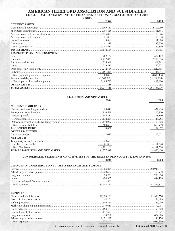### AMERICAN HEREFORD ASSOCIATION AND SUBSIDIARIES CONSOLIDATED STATEMENTS OF FINANCIAL POSITION, AUGUST 31, 2004 AND 2003 **ASSETS**

| лоэртэ                        |      |      |  |
|-------------------------------|------|------|--|
|                               | 2004 | 2003 |  |
| <b>CURRENT ASSETS</b>         |      |      |  |
|                               |      |      |  |
|                               |      |      |  |
|                               |      |      |  |
|                               |      |      |  |
|                               |      |      |  |
|                               |      |      |  |
|                               |      |      |  |
|                               |      |      |  |
| PROPERTY, PLANT AND EQUIPMENT |      |      |  |
|                               |      |      |  |
|                               |      |      |  |
|                               |      |      |  |
|                               |      |      |  |
|                               |      |      |  |
|                               |      |      |  |
|                               |      |      |  |
|                               |      |      |  |
|                               |      |      |  |
|                               |      |      |  |
|                               |      |      |  |
|                               |      |      |  |

|                            | 2004 | -2003 |
|----------------------------|------|-------|
| <b>CURRENT LIABILITIES</b> |      |       |
|                            |      |       |
|                            |      |       |
|                            |      |       |
|                            |      |       |
|                            |      |       |
|                            |      |       |
|                            |      |       |
| <b>OTHER LIABILITIES</b>   |      |       |
|                            |      |       |
| <b>NET ASSETS</b>          |      |       |
|                            |      |       |
|                            |      |       |
|                            |      |       |
|                            |      |       |

**LIABILITIES AND NET ASSETS** 

#### CONSOLIDATED STATEMENTS OF ACTIVITIES FOR THE YEARS ENDED AUGUST 31, 2004 AND 2003 2004

| <b>CHANGES IN UNRESTRICTED NET ASSETS REVENUES AND SUPPORT</b> |  |
|----------------------------------------------------------------|--|
|                                                                |  |
|                                                                |  |
|                                                                |  |
|                                                                |  |
|                                                                |  |
|                                                                |  |
|                                                                |  |

| <b>EXPENSES</b> |  |
|-----------------|--|
|                 |  |
|                 |  |
|                 |  |
|                 |  |
|                 |  |
|                 |  |
|                 |  |
|                 |  |
| 4.374407        |  |

See accompanying notes to consolidated financial statements.

2003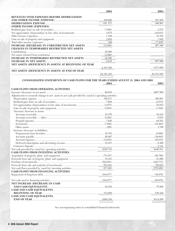|                                                        | 2004 | 2003 |
|--------------------------------------------------------|------|------|
| <b>REVENUES OVER EXPENSES BEFORE DEPRECIATION</b>      |      |      |
|                                                        |      |      |
|                                                        |      |      |
| <b>OTHER INCOME (EXPENSES)</b>                         |      |      |
|                                                        |      |      |
|                                                        |      |      |
|                                                        |      |      |
|                                                        |      |      |
|                                                        |      |      |
|                                                        |      |      |
| <b>CHANGES IN TEMPORARILY RESTRICTED NET ASSETS</b>    |      |      |
|                                                        |      |      |
|                                                        |      |      |
|                                                        |      |      |
|                                                        |      |      |
| NET ASSETS (DEFICIENCY IN ASSETS) AT BEGINNING OF YEAR |      |      |
|                                                        |      |      |
| NET ASSETS (DEFICIENCY IN ASSETS) AT END OF YEAR       |      |      |
|                                                        |      |      |

# CONSOLIDATED STATEMENTS OF CASH FLOWS FOR THE YEARS ENDED AUGUST 31, 2004 AND 2003

2003

| <b>CASH FLOWS FROM OPERATING ACTIVITIES</b>                                                           |  |
|-------------------------------------------------------------------------------------------------------|--|
|                                                                                                       |  |
| Adjustments to reconcile change in net assets to net cash provided by (used in) operating activities: |  |
|                                                                                                       |  |
|                                                                                                       |  |
|                                                                                                       |  |
|                                                                                                       |  |
| (Increase) decrease in assets:                                                                        |  |
|                                                                                                       |  |
|                                                                                                       |  |
|                                                                                                       |  |
|                                                                                                       |  |
|                                                                                                       |  |
| Increase (decrease) in liabilities:                                                                   |  |
|                                                                                                       |  |
|                                                                                                       |  |
|                                                                                                       |  |
|                                                                                                       |  |
|                                                                                                       |  |
|                                                                                                       |  |
| CASH FLOWS FROM INVESTING ACTIVITIES                                                                  |  |
|                                                                                                       |  |
|                                                                                                       |  |
|                                                                                                       |  |
|                                                                                                       |  |
|                                                                                                       |  |
| <b>CASH FLOWS FROM FINANCING ACTIVITIES</b>                                                           |  |
|                                                                                                       |  |
|                                                                                                       |  |
| NET INCREASE (DECREASE) IN CASH                                                                       |  |
|                                                                                                       |  |
| CASH AND CASH EQUIVALENTS,                                                                            |  |
|                                                                                                       |  |
| CASH AND CASH EQUIVALENTS,                                                                            |  |
|                                                                                                       |  |

See accompanying notes to consolidated financial statements.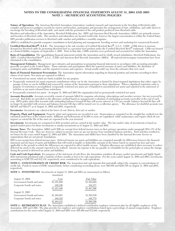### **NOTES TO THE CONSOLIDATING FINANCIAL STATEMENTS AUGUST 31, 2004 AND 2003 NOTE 1 - SIGNIFICANT ACCOUNTING POLICIES**

**Nature of Operations** The American Hereford Association (Association) conducts research and experiments in the breeding of Hereford cattle, compiles and preserves pedigree records for owners and breeders, participates and promotes the arrangement of fairs, exhibitions, and cattle shows to encourage the breeding of Hereford cattle, and assists with the promotion of the end product produced from Hereford cattle.

Members and subscribers of the Association, Hereford Publication, Inc. (HPI) and American Beef Records Association (ABRA) are primarily owners and breeders of Hereford cattle. The members and subscribers are located world-wide, however the largest concentration is within the United States. HPI provides publication services to Hereford cattle ranches and publishes a monthly magazine.

ABRA is established to provide computer consultation in herd planning and management, breeding services and marketing for commercial livestock.

Certified Hereford Beef<sup>®</sup>, L.L.C. The Association is the sole member of Certified Hereford Beef<sup>®</sup>, L.L.C. (CHB). CHB strives to increase demand for Hereford cattle by promoting Hereford beef as a premium beef product under the Certified Hereford Beef® trademark. CHB was formed as a limited liability company on September 1, 2001. Prior to that date, CHB's activities were performed and accounted for within the Association.

**Basis of Consolidation** The consolidating financial statements include the Association and its wholly owned subsidiaries, Hereford Publications, Inc. (HPI), Certified Hereford Beef®, L.L.C. (CHB) and American Beef Records Association (ABRA). All material intercompany transactions have been eliminated in the consolidation.

**Management Estimates** Management uses estimates and assumptions in preparing financial statements in accordance with accounting principles generally accepted in the United States. Those estimates and assumptions affect the reported amounts of assets and liabilities, the disclosure of contingent assets and liabilities, and the reported revenues and expenses. Actual results could vary from the estimates that were used.

**Basis of Financial Statement Presentation** The Association reports information regarding its financial position and activities according to three classes of net assets. Net assets are reported as follows:

- Unrestricted net assets, which are funds available for any purpose.
- • Temporarily restricted net assets represent contributions whose use by the Association is limited by donor-imposed stipulations that either expire by passage of time or can be fulfilled and removed by actions of the Association pursuant to those stipulations. When a stipulated restriction ends or purpose of restriction is accomplished, temporarily restricted net assets are reclassified to unrestricted net assets and reported in the statement of activities as net assets released from restrictions.
- • Permanently restricted net assets At August 31, 2004 and 2003 the organization had no permanently restricted net assets

**Accounts Receivable** Accounts receivable consist of amounts billed for magazine advertising, subscriptions and member services, but not received by year-end. Bad debts are provided on the allowance method based on management's evaluation of outstanding accounts receivable at the end of each year. HPI's policy states that accounts with outstanding balances beyond 60 days will accrue interest at 1.5% per month, balances beyond 90 days will no longer be provided with services and balances beyond 120 days will be turned over to a collection agency. The allowance for doubtful accounts was \$26,861 and \$26,477 as of August 31, 2004 and 2003, respectively.

**Inventories** Inventories are valued at the lower of cost (first-in, first out) or market.

**Property, Plant and Equipment** Property, plant and equipment are recorded at cost. Depreciation is computed on the straight-line method over the estimated useful lives of the related assets. Additions and betterments of \$1,000 or more are capitalized, while maintenance and repairs which do not improve or extend the life of the asset are expensed in the year incurred.

**Investments** Investments are comprised of debt securities and are carried at fair market value. The fair market value of investments is based on quoted market prices for those investments or similar investments as of August 31, 2004 and 2003.

**Income Taxes** The Association, ABRA and CHB are exempt from federal income taxes on their primary operations under paragraph 501(c)(5) of the Internal Revenue Code. They are, however, subject to income taxes on any net income from unrelated business activities. Such activities resulted in net losses for the years ended August 31, 2004 and 2003. The Association and ABRA have been classified by the Internal Revenue Service as organizations that are not private foundations.

HPI is not exempt from federal income taxes. Deferred income tax assets and liabilities are computed annually for differences between the financial statement and tax bases of assets and liabilities that will result in taxable or deductible amounts in the future based on enacted tax laws and rates applicable to the periods in which the differences are expected to affect taxable income. Valuation allowances are established when necessary to reduce deferred tax assets to the amount expected to be realized. Income tax expense is the tax payable or refundable for the period plus or minus the change during the period in deferred tax assets and liabilities.

**Cash and Cash Equivalents** For purposes of the statement of cash flows, the Association considers all money market investments and highly liquid debt instruments purchased with a maturity of three months or less to be cash equivalents. For the years ended August 31, 2004 and 2003, investments amounting to \$156,725 and \$12,134, respectively, were considered to be cash equivalents.

**NOTE 2 - CONCENTRATION OF CREDIT RISK** The Association had cash deposits that potentially subject the company to concentrations of credit risk. Funds in excess of FDIC insured limits, before considering reconciling items, were \$60,856 and \$240,798 on August 31, 2004 and 2003, respectively.

**NOTE 3 - INVESTMENTS** Investments at August 31, 2004 and 2003 are summarized as follows:

|                            | Amortized   |             |
|----------------------------|-------------|-------------|
| August 31, 2004            | Cost        | Fair Value  |
| Government bonds and notes | \$1,351,650 | \$1,363,625 |
| Corporate bonds and notes  | 100,196     | 104,371     |
|                            | \$1,451,846 | \$1,467,996 |
| August 31, 2003            |             |             |
| Government bonds and notes | \$1,384,081 | \$1,393,530 |
| Corporate bonds and notes  | 100,352     | 106,779     |
|                            | \$1,484,433 | \$1,500,309 |
|                            |             |             |

**NOTE 4 - RETIREMENT PLAN** The Association established a defined contribution employee retirement plan for all eligible employees of the Association, HPI and CHB. The plan provides for employer and employee contributions based upon a percentage of annual compensation. Employer contributions for the years ended August 31, 2004 and 2003 were \$58,490 and \$72,948, respectively.